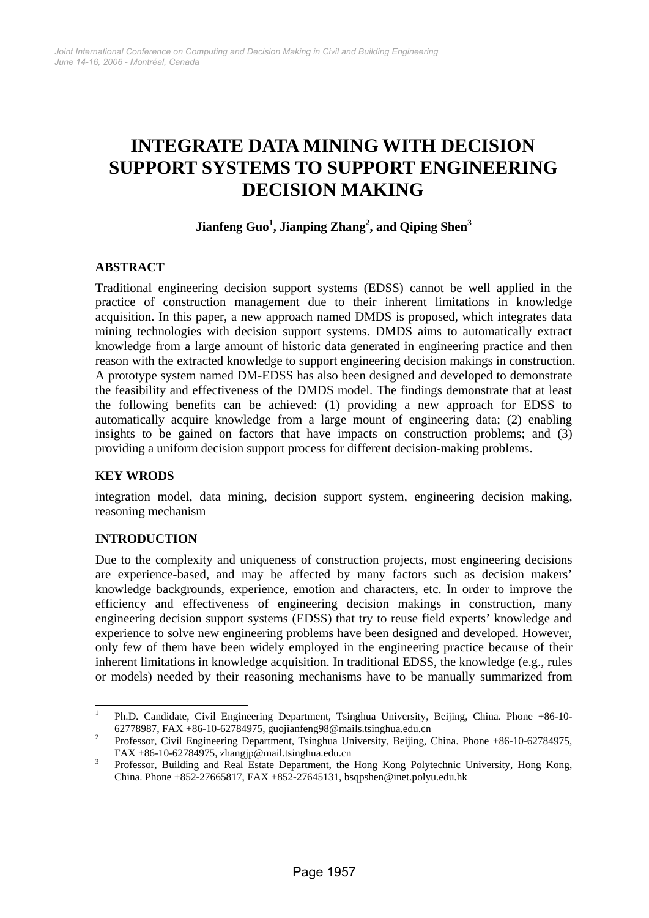# **INTEGRATE DATA MINING WITH DECISION SUPPORT SYSTEMS TO SUPPORT ENGINEERING DECISION MAKING**

# $\mathbf{Jianfeng} \ \mathbf{Guo}^1, \mathbf{Jianping} \ \mathbf{Zhang}^2, \mathbf{and} \ \mathbf{Qiping} \ \mathbf{Shen}^3$

# **ABSTRACT**

Traditional engineering decision support systems (EDSS) cannot be well applied in the practice of construction management due to their inherent limitations in knowledge acquisition. In this paper, a new approach named DMDS is proposed, which integrates data mining technologies with decision support systems. DMDS aims to automatically extract knowledge from a large amount of historic data generated in engineering practice and then reason with the extracted knowledge to support engineering decision makings in construction. A prototype system named DM-EDSS has also been designed and developed to demonstrate the feasibility and effectiveness of the DMDS model. The findings demonstrate that at least the following benefits can be achieved: (1) providing a new approach for EDSS to automatically acquire knowledge from a large mount of engineering data; (2) enabling insights to be gained on factors that have impacts on construction problems; and (3) providing a uniform decision support process for different decision-making problems.

# **KEY WRODS**

integration model, data mining, decision support system, engineering decision making, reasoning mechanism

# **INTRODUCTION**

Due to the complexity and uniqueness of construction projects, most engineering decisions are experience-based, and may be affected by many factors such as decision makers' knowledge backgrounds, experience, emotion and characters, etc. In order to improve the efficiency and effectiveness of engineering decision makings in construction, many engineering decision support systems (EDSS) that try to reuse field experts' knowledge and experience to solve new engineering problems have been designed and developed. However, only few of them have been widely employed in the engineering practice because of their inherent limitations in knowledge acquisition. In traditional EDSS, the knowledge (e.g., rules or models) needed by their reasoning mechanisms have to be manually summarized from

 $\mathbf{1}$ 1 Ph.D. Candidate, Civil Engineering Department, Tsinghua University, Beijing, China. Phone +86-10- 62778987, FAX +86-10-62784975, guojianfeng98@mails.tsinghua.edu.cn <sup>2</sup>

<sup>&</sup>lt;sup>2</sup> Professor, Civil Engineering Department, Tsinghua University, Beijing, China. Phone +86-10-62784975, FAX +86-10-62784975, zhangjp@mail.tsinghua.edu.cn  $\frac{3}{2}$ 

Professor, Building and Real Estate Department, the Hong Kong Polytechnic University, Hong Kong, China. Phone +852-27665817, FAX +852-27645131, bsqpshen@inet.polyu.edu.hk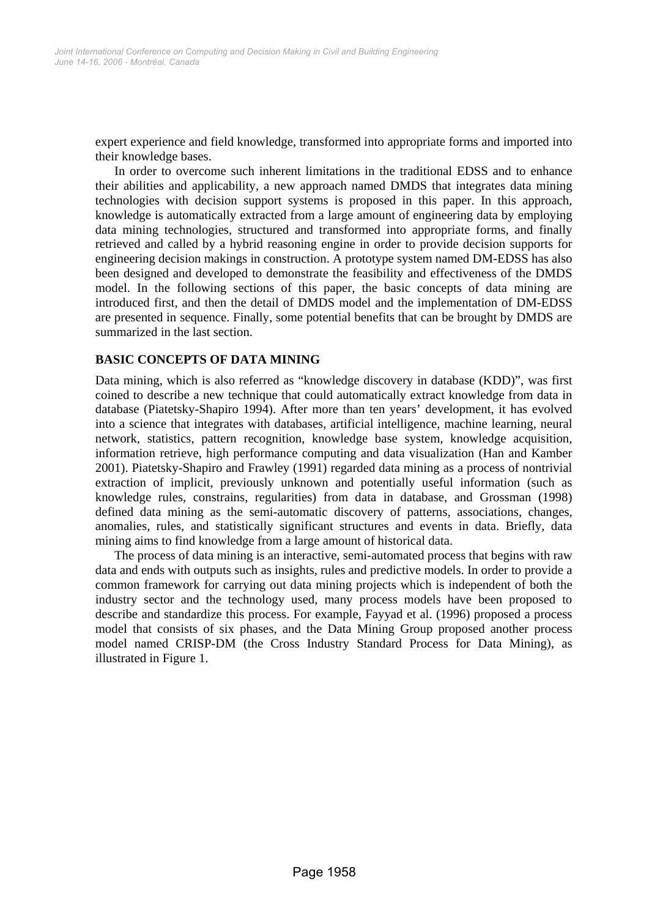expert experience and field knowledge, transformed into appropriate forms and imported into their knowledge bases.

In order to overcome such inherent limitations in the traditional EDSS and to enhance their abilities and applicability, a new approach named DMDS that integrates data mining technologies with decision support systems is proposed in this paper. In this approach, knowledge is automatically extracted from a large amount of engineering data by employing data mining technologies, structured and transformed into appropriate forms, and finally retrieved and called by a hybrid reasoning engine in order to provide decision supports for engineering decision makings in construction. A prototype system named DM-EDSS has also been designed and developed to demonstrate the feasibility and effectiveness of the DMDS model. In the following sections of this paper, the basic concepts of data mining are introduced first, and then the detail of DMDS model and the implementation of DM-EDSS are presented in sequence. Finally, some potential benefits that can be brought by DMDS are summarized in the last section.

# **BASIC CONCEPTS OF DATA MINING**

Data mining, which is also referred as "knowledge discovery in database (KDD)", was first coined to describe a new technique that could automatically extract knowledge from data in database (Piatetsky-Shapiro 1994). After more than ten years' development, it has evolved into a science that integrates with databases, artificial intelligence, machine learning, neural network, statistics, pattern recognition, knowledge base system, knowledge acquisition, information retrieve, high performance computing and data visualization (Han and Kamber 2001). Piatetsky-Shapiro and Frawley (1991) regarded data mining as a process of nontrivial extraction of implicit, previously unknown and potentially useful information (such as knowledge rules, constrains, regularities) from data in database, and Grossman (1998) defined data mining as the semi-automatic discovery of patterns, associations, changes, anomalies, rules, and statistically significant structures and events in data. Briefly, data mining aims to find knowledge from a large amount of historical data.

The process of data mining is an interactive, semi-automated process that begins with raw data and ends with outputs such as insights, rules and predictive models. In order to provide a common framework for carrying out data mining projects which is independent of both the industry sector and the technology used, many process models have been proposed to describe and standardize this process. For example, Fayyad et al. (1996) proposed a process model that consists of six phases, and the Data Mining Group proposed another process model named CRISP-DM (the Cross Industry Standard Process for Data Mining), as illustrated in Figure 1.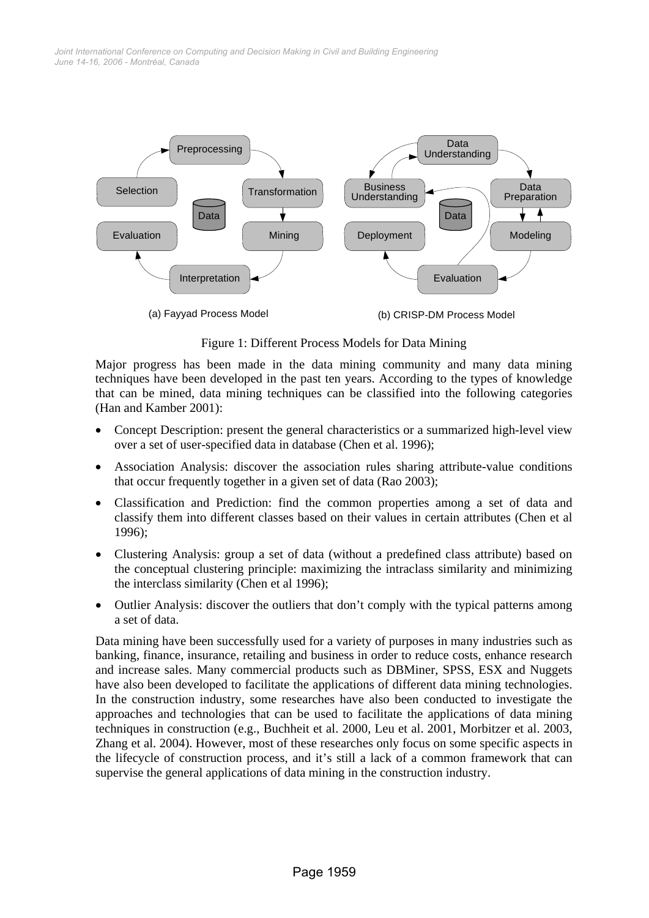*June 14-16, 2006 - Montréal, Canada Joint International Conference on Computing and Decision Making in Civil and Building Engineering*



Figure 1: Different Process Models for Data Mining

Major progress has been made in the data mining community and many data mining techniques have been developed in the past ten years. According to the types of knowledge that can be mined, data mining techniques can be classified into the following categories (Han and Kamber 2001):

- Concept Description: present the general characteristics or a summarized high-level view over a set of user-specified data in database (Chen et al. 1996);
- Association Analysis: discover the association rules sharing attribute-value conditions that occur frequently together in a given set of data (Rao 2003);
- Classification and Prediction: find the common properties among a set of data and classify them into different classes based on their values in certain attributes (Chen et al 1996);
- Clustering Analysis: group a set of data (without a predefined class attribute) based on the conceptual clustering principle: maximizing the intraclass similarity and minimizing the interclass similarity (Chen et al 1996);
- Outlier Analysis: discover the outliers that don't comply with the typical patterns among a set of data.

Data mining have been successfully used for a variety of purposes in many industries such as banking, finance, insurance, retailing and business in order to reduce costs, enhance research and increase sales. Many commercial products such as DBMiner, SPSS, ESX and Nuggets have also been developed to facilitate the applications of different data mining technologies. In the construction industry, some researches have also been conducted to investigate the approaches and technologies that can be used to facilitate the applications of data mining techniques in construction (e.g., Buchheit et al. 2000, Leu et al. 2001, Morbitzer et al. 2003, Zhang et al. 2004). However, most of these researches only focus on some specific aspects in the lifecycle of construction process, and it's still a lack of a common framework that can supervise the general applications of data mining in the construction industry.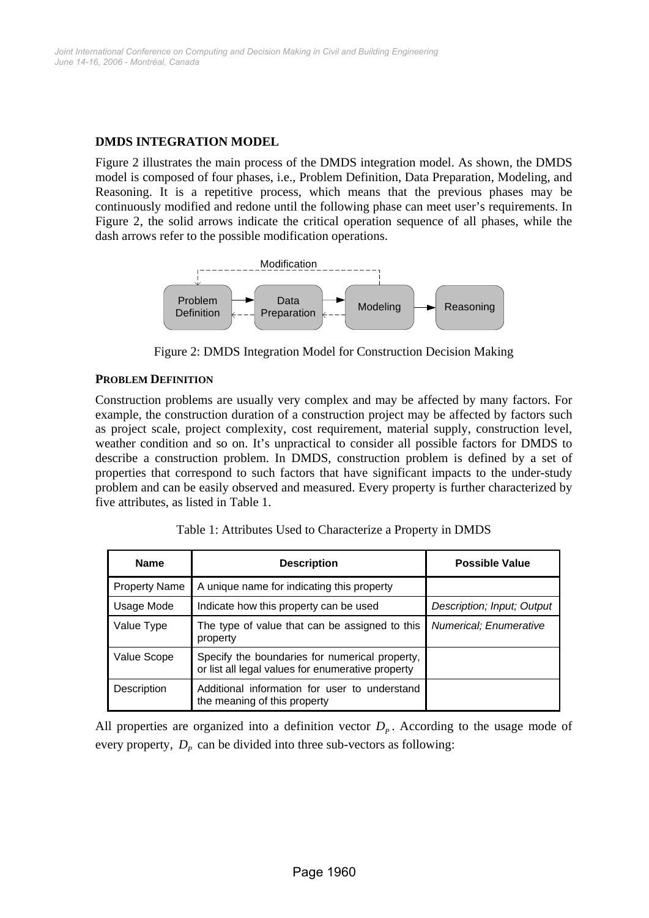# **DMDS INTEGRATION MODEL**

Figure 2 illustrates the main process of the DMDS integration model. As shown, the DMDS model is composed of four phases, i.e., Problem Definition, Data Preparation, Modeling, and Reasoning. It is a repetitive process, which means that the previous phases may be continuously modified and redone until the following phase can meet user's requirements. In Figure 2, the solid arrows indicate the critical operation sequence of all phases, while the dash arrows refer to the possible modification operations.



Figure 2: DMDS Integration Model for Construction Decision Making

# **PROBLEM DEFINITION**

Construction problems are usually very complex and may be affected by many factors. For example, the construction duration of a construction project may be affected by factors such as project scale, project complexity, cost requirement, material supply, construction level, weather condition and so on. It's unpractical to consider all possible factors for DMDS to describe a construction problem. In DMDS, construction problem is defined by a set of properties that correspond to such factors that have significant impacts to the under-study problem and can be easily observed and measured. Every property is further characterized by five attributes, as listed in Table 1.

| <b>Name</b>          | <b>Description</b>                                                                                  | <b>Possible Value</b>      |
|----------------------|-----------------------------------------------------------------------------------------------------|----------------------------|
| <b>Property Name</b> | A unique name for indicating this property                                                          |                            |
| Usage Mode           | Indicate how this property can be used                                                              | Description; Input; Output |
| Value Type           | The type of value that can be assigned to this<br>property                                          | Numerical; Enumerative     |
| Value Scope          | Specify the boundaries for numerical property,<br>or list all legal values for enumerative property |                            |
| Description          | Additional information for user to understand<br>the meaning of this property                       |                            |

Table 1: Attributes Used to Characterize a Property in DMDS

All properties are organized into a definition vector  $D<sub>p</sub>$ . According to the usage mode of every property,  $D_p$  can be divided into three sub-vectors as following: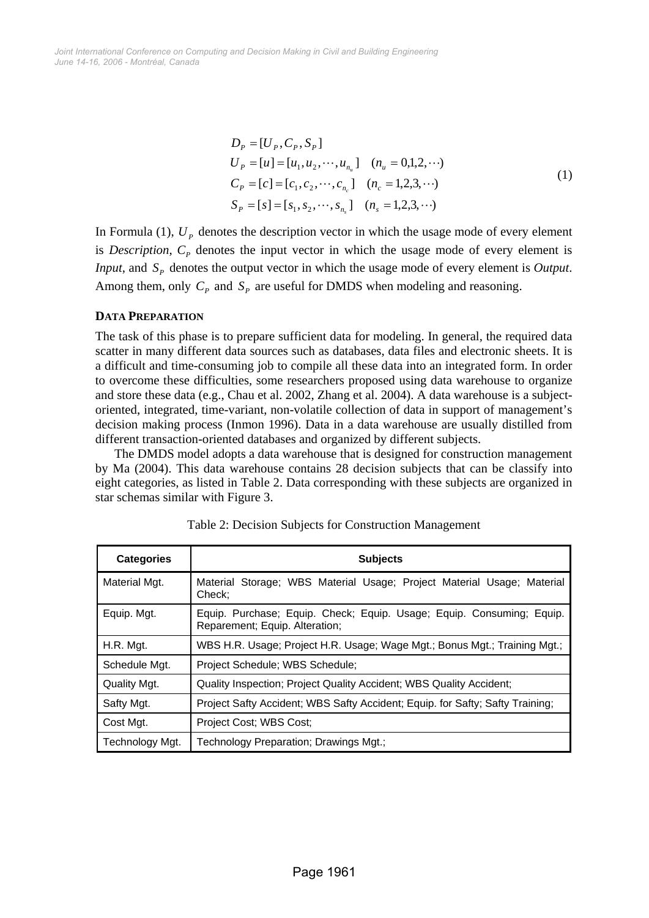*June 14-16, 2006 - Montréal, Canada Joint International Conference on Computing and Decision Making in Civil and Building Engineering*

$$
D_{P} = [U_{P}, C_{P}, S_{P}]
$$
  
\n
$$
U_{P} = [u] = [u_{1}, u_{2}, \cdots, u_{n_{u}}] \quad (n_{u} = 0, 1, 2, \cdots)
$$
  
\n
$$
C_{P} = [c] = [c_{1}, c_{2}, \cdots, c_{n_{c}}] \quad (n_{c} = 1, 2, 3, \cdots)
$$
  
\n
$$
S_{P} = [s] = [s_{1}, s_{2}, \cdots, s_{n_{s}}] \quad (n_{s} = 1, 2, 3, \cdots)
$$
\n(1)

In Formula (1),  $U_p$  denotes the description vector in which the usage mode of every element is *Description*,  $C_p$  denotes the input vector in which the usage mode of every element is *Input*, and  $S_p$  denotes the output vector in which the usage mode of every element is *Output*. Among them, only  $C_p$  and  $S_p$  are useful for DMDS when modeling and reasoning.

#### **DATA PREPARATION**

The task of this phase is to prepare sufficient data for modeling. In general, the required data scatter in many different data sources such as databases, data files and electronic sheets. It is a difficult and time-consuming job to compile all these data into an integrated form. In order to overcome these difficulties, some researchers proposed using data warehouse to organize and store these data (e.g., Chau et al. 2002, Zhang et al. 2004). A data warehouse is a subjectoriented, integrated, time-variant, non-volatile collection of data in support of management's decision making process (Inmon 1996). Data in a data warehouse are usually distilled from different transaction-oriented databases and organized by different subjects.

The DMDS model adopts a data warehouse that is designed for construction management by Ma (2004). This data warehouse contains 28 decision subjects that can be classify into eight categories, as listed in Table 2. Data corresponding with these subjects are organized in star schemas similar with Figure 3.

| <b>Categories</b>   | <b>Subjects</b>                                                                                         |  |
|---------------------|---------------------------------------------------------------------------------------------------------|--|
| Material Mgt.       | Material Storage; WBS Material Usage; Project Material Usage; Material<br>Check:                        |  |
| Equip. Mgt.         | Equip. Purchase; Equip. Check; Equip. Usage; Equip. Consuming; Equip.<br>Reparement; Equip. Alteration; |  |
| H.R. Mgt.           | WBS H.R. Usage; Project H.R. Usage; Wage Mgt.; Bonus Mgt.; Training Mgt.;                               |  |
| Schedule Mat.       | Project Schedule; WBS Schedule;                                                                         |  |
| <b>Quality Mgt.</b> | Quality Inspection; Project Quality Accident; WBS Quality Accident;                                     |  |
| Safty Mgt.          | Project Safty Accident; WBS Safty Accident; Equip. for Safty; Safty Training;                           |  |
| Cost Mat.           | Project Cost; WBS Cost;                                                                                 |  |
| Technology Mgt.     | Technology Preparation; Drawings Mgt.;                                                                  |  |

Table 2: Decision Subjects for Construction Management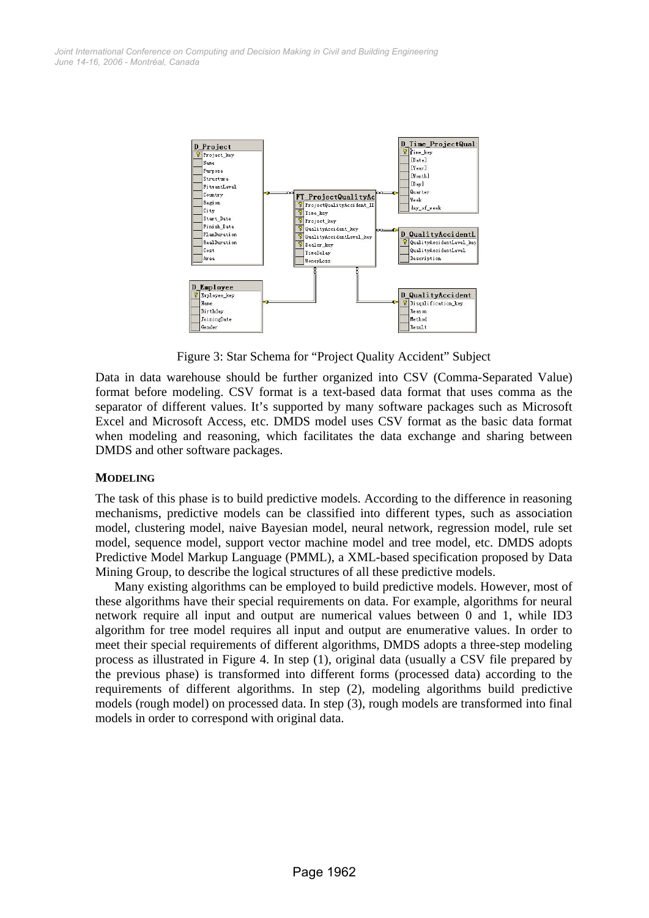

Figure 3: Star Schema for "Project Quality Accident" Subject

Data in data warehouse should be further organized into CSV (Comma-Separated Value) format before modeling. CSV format is a text-based data format that uses comma as the separator of different values. It's supported by many software packages such as Microsoft Excel and Microsoft Access, etc. DMDS model uses CSV format as the basic data format when modeling and reasoning, which facilitates the data exchange and sharing between DMDS and other software packages.

# **MODELING**

The task of this phase is to build predictive models. According to the difference in reasoning mechanisms, predictive models can be classified into different types, such as association model, clustering model, naive Bayesian model, neural network, regression model, rule set model, sequence model, support vector machine model and tree model, etc. DMDS adopts Predictive Model Markup Language (PMML), a XML-based specification proposed by Data Mining Group, to describe the logical structures of all these predictive models.

Many existing algorithms can be employed to build predictive models. However, most of these algorithms have their special requirements on data. For example, algorithms for neural network require all input and output are numerical values between 0 and 1, while ID3 algorithm for tree model requires all input and output are enumerative values. In order to meet their special requirements of different algorithms, DMDS adopts a three-step modeling process as illustrated in Figure 4. In step (1), original data (usually a CSV file prepared by the previous phase) is transformed into different forms (processed data) according to the requirements of different algorithms. In step (2), modeling algorithms build predictive models (rough model) on processed data. In step (3), rough models are transformed into final models in order to correspond with original data.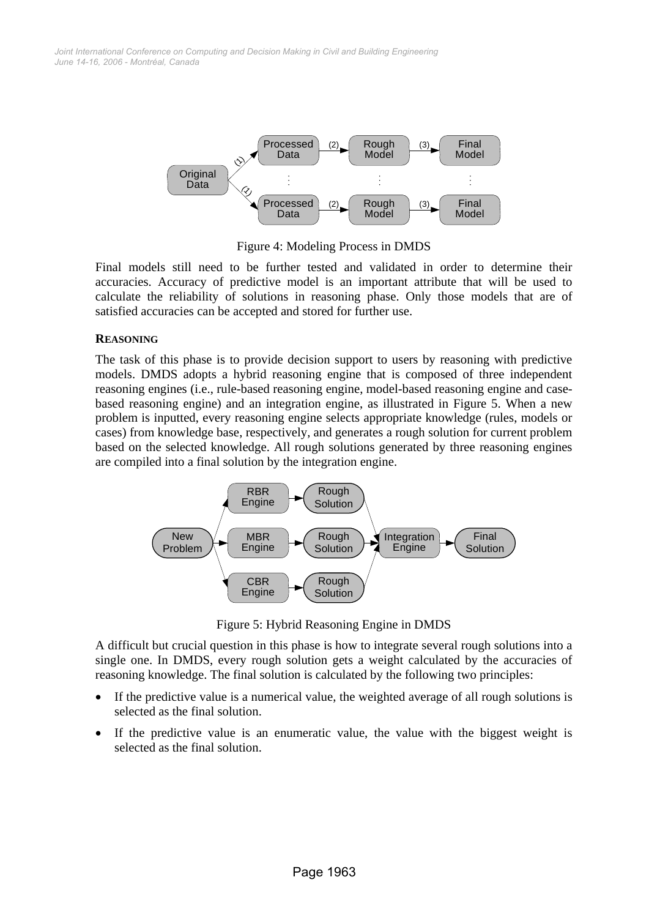

Figure 4: Modeling Process in DMDS

Final models still need to be further tested and validated in order to determine their accuracies. Accuracy of predictive model is an important attribute that will be used to calculate the reliability of solutions in reasoning phase. Only those models that are of satisfied accuracies can be accepted and stored for further use.

# **REASONING**

The task of this phase is to provide decision support to users by reasoning with predictive models. DMDS adopts a hybrid reasoning engine that is composed of three independent reasoning engines (i.e., rule-based reasoning engine, model-based reasoning engine and casebased reasoning engine) and an integration engine, as illustrated in Figure 5. When a new problem is inputted, every reasoning engine selects appropriate knowledge (rules, models or cases) from knowledge base, respectively, and generates a rough solution for current problem based on the selected knowledge. All rough solutions generated by three reasoning engines are compiled into a final solution by the integration engine.



Figure 5: Hybrid Reasoning Engine in DMDS

A difficult but crucial question in this phase is how to integrate several rough solutions into a single one. In DMDS, every rough solution gets a weight calculated by the accuracies of reasoning knowledge. The final solution is calculated by the following two principles:

- If the predictive value is a numerical value, the weighted average of all rough solutions is selected as the final solution.
- If the predictive value is an enumeratic value, the value with the biggest weight is selected as the final solution.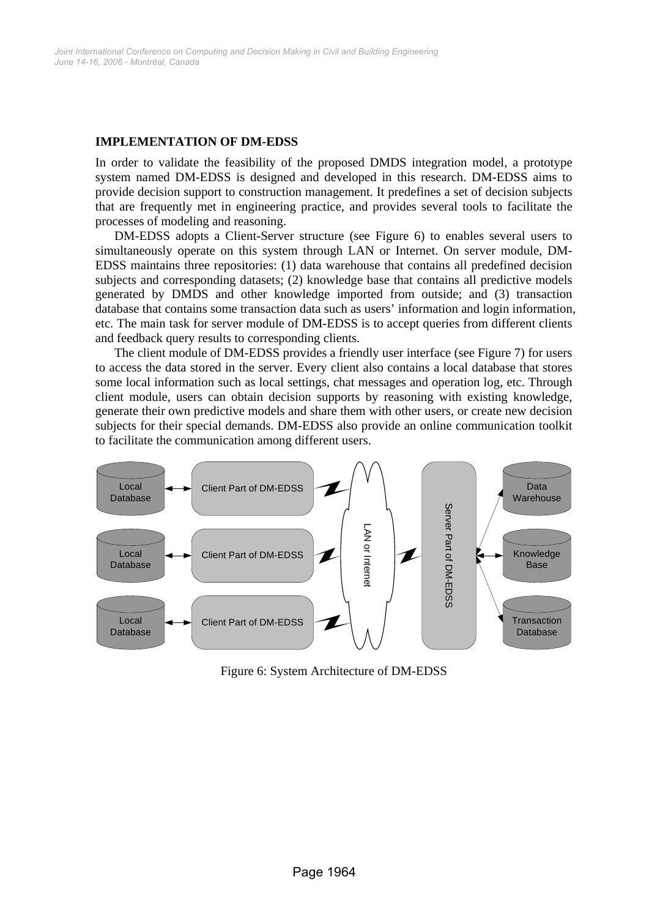#### **IMPLEMENTATION OF DM-EDSS**

In order to validate the feasibility of the proposed DMDS integration model, a prototype system named DM-EDSS is designed and developed in this research. DM-EDSS aims to provide decision support to construction management. It predefines a set of decision subjects that are frequently met in engineering practice, and provides several tools to facilitate the processes of modeling and reasoning.

DM-EDSS adopts a Client-Server structure (see Figure 6) to enables several users to simultaneously operate on this system through LAN or Internet. On server module, DM-EDSS maintains three repositories: (1) data warehouse that contains all predefined decision subjects and corresponding datasets; (2) knowledge base that contains all predictive models generated by DMDS and other knowledge imported from outside; and (3) transaction database that contains some transaction data such as users' information and login information, etc. The main task for server module of DM-EDSS is to accept queries from different clients and feedback query results to corresponding clients.

The client module of DM-EDSS provides a friendly user interface (see Figure 7) for users to access the data stored in the server. Every client also contains a local database that stores some local information such as local settings, chat messages and operation log, etc. Through client module, users can obtain decision supports by reasoning with existing knowledge, generate their own predictive models and share them with other users, or create new decision subjects for their special demands. DM-EDSS also provide an online communication toolkit to facilitate the communication among different users.



Figure 6: System Architecture of DM-EDSS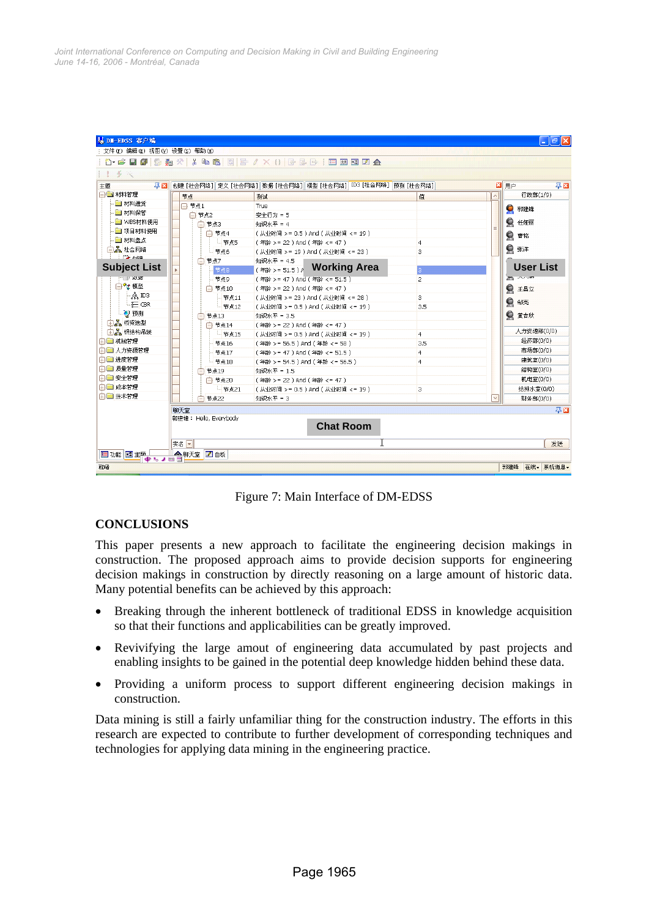| 节点<br>日 节点1<br>白 节点2<br>白 节点3 | 创建 [社会网络] 定义 [社会网络] 数据 [社会网络] 模型 [社会网络] ID3 [社会网络]  预测 [社会网络]<br>测试<br>True<br>安全行为 = 5                                                                    | 值                                                                                                                                                                                                                                                                                                                                                                                                                                                                                                               | 図用户<br>行政部(1/9)<br>$\overline{\phantom{a}}$<br>● 郭建锋                  |
|-------------------------------|------------------------------------------------------------------------------------------------------------------------------------------------------------|-----------------------------------------------------------------------------------------------------------------------------------------------------------------------------------------------------------------------------------------------------------------------------------------------------------------------------------------------------------------------------------------------------------------------------------------------------------------------------------------------------------------|-----------------------------------------------------------------------|
|                               |                                                                                                                                                            |                                                                                                                                                                                                                                                                                                                                                                                                                                                                                                                 |                                                                       |
|                               |                                                                                                                                                            |                                                                                                                                                                                                                                                                                                                                                                                                                                                                                                                 |                                                                       |
|                               |                                                                                                                                                            |                                                                                                                                                                                                                                                                                                                                                                                                                                                                                                                 |                                                                       |
|                               |                                                                                                                                                            |                                                                                                                                                                                                                                                                                                                                                                                                                                                                                                                 |                                                                       |
|                               | 知识水平 = 4                                                                                                                                                   |                                                                                                                                                                                                                                                                                                                                                                                                                                                                                                                 | ● 任娅丽                                                                 |
| 白节点4                          | (从业时间 > = 0.5 ) And (从业时间 <= 19 )                                                                                                                          |                                                                                                                                                                                                                                                                                                                                                                                                                                                                                                                 |                                                                       |
|                               |                                                                                                                                                            |                                                                                                                                                                                                                                                                                                                                                                                                                                                                                                                 | ● 曹铭                                                                  |
|                               |                                                                                                                                                            |                                                                                                                                                                                                                                                                                                                                                                                                                                                                                                                 | ● 张洋                                                                  |
|                               |                                                                                                                                                            |                                                                                                                                                                                                                                                                                                                                                                                                                                                                                                                 |                                                                       |
|                               |                                                                                                                                                            |                                                                                                                                                                                                                                                                                                                                                                                                                                                                                                                 | <b>User List</b>                                                      |
|                               |                                                                                                                                                            | $\overline{z}$                                                                                                                                                                                                                                                                                                                                                                                                                                                                                                  | <b>The Processing</b>                                                 |
|                               |                                                                                                                                                            |                                                                                                                                                                                                                                                                                                                                                                                                                                                                                                                 | ● 王昌立                                                                 |
|                               |                                                                                                                                                            | 3                                                                                                                                                                                                                                                                                                                                                                                                                                                                                                               |                                                                       |
|                               |                                                                                                                                                            |                                                                                                                                                                                                                                                                                                                                                                                                                                                                                                                 | Q<br>邹亮                                                               |
|                               |                                                                                                                                                            |                                                                                                                                                                                                                                                                                                                                                                                                                                                                                                                 | ● 黄吉欣                                                                 |
|                               |                                                                                                                                                            |                                                                                                                                                                                                                                                                                                                                                                                                                                                                                                                 |                                                                       |
|                               |                                                                                                                                                            |                                                                                                                                                                                                                                                                                                                                                                                                                                                                                                                 | 人力资源部(0/0)                                                            |
|                               |                                                                                                                                                            |                                                                                                                                                                                                                                                                                                                                                                                                                                                                                                                 | 经济部(0/0)                                                              |
|                               |                                                                                                                                                            |                                                                                                                                                                                                                                                                                                                                                                                                                                                                                                                 | 市场部(0/0)                                                              |
|                               |                                                                                                                                                            | $\overline{4}$                                                                                                                                                                                                                                                                                                                                                                                                                                                                                                  | 建筑室(0/0)                                                              |
|                               |                                                                                                                                                            |                                                                                                                                                                                                                                                                                                                                                                                                                                                                                                                 | 结构室(0/0)                                                              |
|                               |                                                                                                                                                            |                                                                                                                                                                                                                                                                                                                                                                                                                                                                                                                 | 机电室(0/0)                                                              |
|                               |                                                                                                                                                            | 3                                                                                                                                                                                                                                                                                                                                                                                                                                                                                                               | 给排水室(0/0)                                                             |
| 节点22                          | 知识水平 = 3                                                                                                                                                   |                                                                                                                                                                                                                                                                                                                                                                                                                                                                                                                 | $\checkmark$<br>财务部(0/0)                                              |
|                               | 山 节点5<br>- 节点6<br>白节点7<br>节点8<br>节点9<br>白 节点10<br>- 节点11<br>└ 节点12<br>白 节点13<br>□ 节点14<br>山节点15<br>卡节点16<br>- 节点17<br>└ 节点18<br>□ 节点19<br>□ 节点20<br>- 节点21 | (年龄 >= 22) And (年龄 <= 47)<br>(从业时间 >= 19 ) And (从业时间 <= 23 )<br>知识水平 = 4.5<br>(年龄 > = 51.5) A Working Area<br>(年龄 >= 47) And (年龄 <= 51.5)<br>(年龄 > = 22) And (年龄 < = 47)<br>(从业时间 >= 23) And (从业时间 <= 28)<br>(从业时间 > = 0.5 ) And (从业时间 < = 19 )<br>知识水平 = 3.5<br>(年龄 > = 22) And (年龄 < = 47)<br>(从业时间 > = 0.5) And (从业时间 <= 19)<br>(年龄 >= 56.5) And (年龄 <= 58)<br>(年齢 >= 47 ) And (年齢 <= 51.5 )<br>(年龄 >= 54.5) And (年龄 <= 56.5)<br>知识水平 = 1.5<br>(年龄 >= 22) And (年龄 <= 47)<br>(从业时间 >= 0.5 ) And (从业时间 <= 19 ) | $\overline{4}$<br>3<br>3.5<br>$\overline{4}$<br>3.5<br>$\overline{4}$ |

Figure 7: Main Interface of DM-EDSS

# **CONCLUSIONS**

This paper presents a new approach to facilitate the engineering decision makings in construction. The proposed approach aims to provide decision supports for engineering decision makings in construction by directly reasoning on a large amount of historic data. Many potential benefits can be achieved by this approach:

- Breaking through the inherent bottleneck of traditional EDSS in knowledge acquisition so that their functions and applicabilities can be greatly improved.
- Revivifying the large amout of engineering data accumulated by past projects and enabling insights to be gained in the potential deep knowledge hidden behind these data.
- Providing a uniform process to support different engineering decision makings in construction.

Data mining is still a fairly unfamiliar thing for the construction industry. The efforts in this research are expected to contribute to further development of corresponding techniques and technologies for applying data mining in the engineering practice.